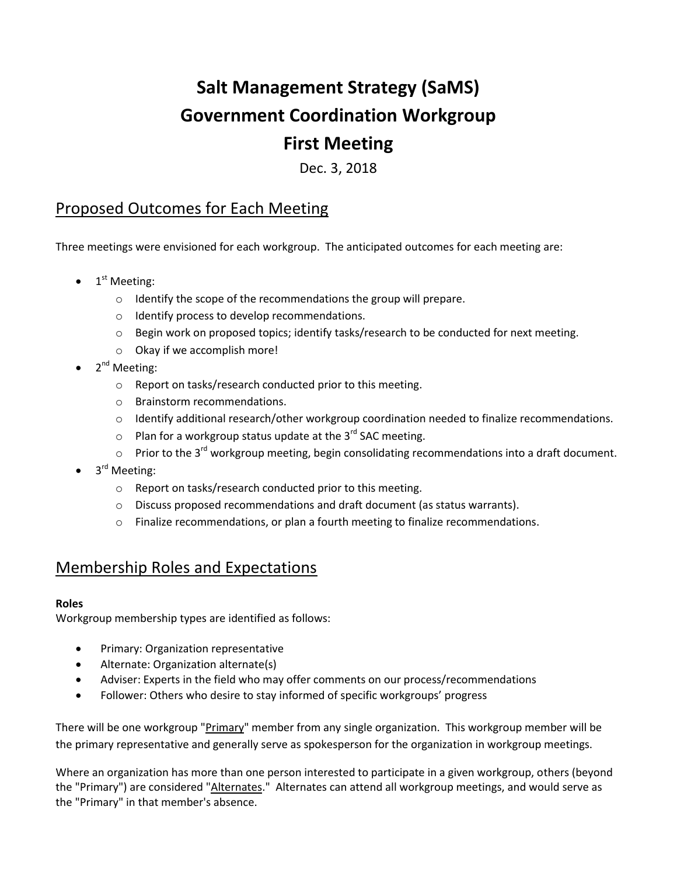# **Salt Management Strategy (SaMS) Government Coordination Workgroup First Meeting**

Dec. 3, 2018

# Proposed Outcomes for Each Meeting

Three meetings were envisioned for each workgroup. The anticipated outcomes for each meeting are:

- $\bullet$  1<sup>st</sup> Meeting:
	- o Identify the scope of the recommendations the group will prepare.
	- o Identify process to develop recommendations.
	- o Begin work on proposed topics; identify tasks/research to be conducted for next meeting.
	- o Okay if we accomplish more!
- $\bullet$  2<sup>nd</sup> Meeting:
	- o Report on tasks/research conducted prior to this meeting.
	- o Brainstorm recommendations.
	- o Identify additional research/other workgroup coordination needed to finalize recommendations.
	- $\circ$  Plan for a workgroup status update at the 3<sup>rd</sup> SAC meeting.
	- $\circ$  Prior to the 3<sup>rd</sup> workgroup meeting, begin consolidating recommendations into a draft document.
- 3<sup>rd</sup> Meeting:
	- o Report on tasks/research conducted prior to this meeting.
	- o Discuss proposed recommendations and draft document (as status warrants).
	- o Finalize recommendations, or plan a fourth meeting to finalize recommendations.

# Membership Roles and Expectations

## **Roles**

Workgroup membership types are identified as follows:

- Primary: Organization representative
- Alternate: Organization alternate(s)
- Adviser: Experts in the field who may offer comments on our process/recommendations
- Follower: Others who desire to stay informed of specific workgroups' progress

There will be one workgroup "Primary" member from any single organization. This workgroup member will be the primary representative and generally serve as spokesperson for the organization in workgroup meetings.

Where an organization has more than one person interested to participate in a given workgroup, others (beyond the "Primary") are considered "Alternates." Alternates can attend all workgroup meetings, and would serve as the "Primary" in that member's absence.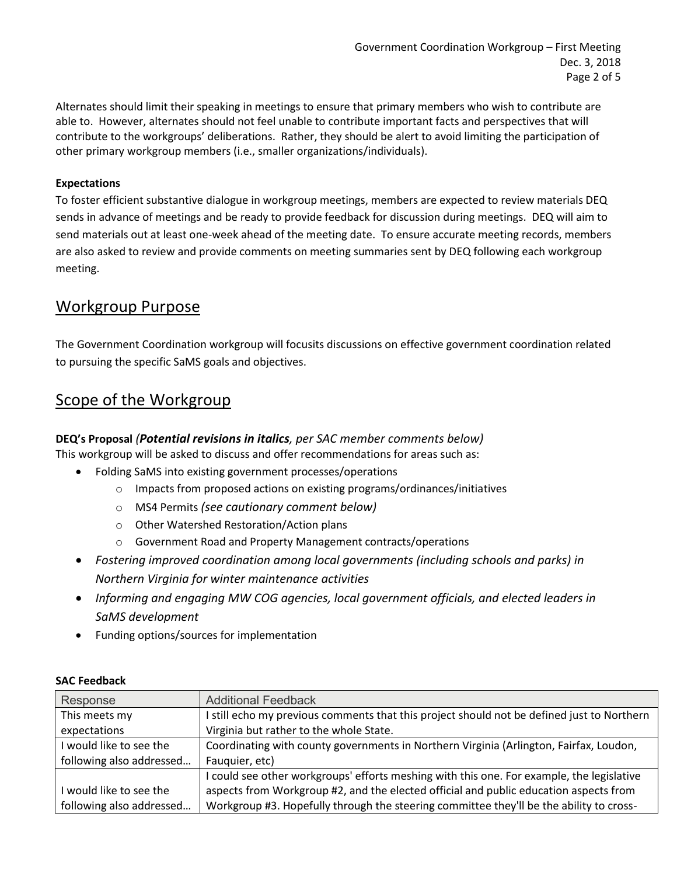Alternates should limit their speaking in meetings to ensure that primary members who wish to contribute are able to. However, alternates should not feel unable to contribute important facts and perspectives that will contribute to the workgroups' deliberations. Rather, they should be alert to avoid limiting the participation of other primary workgroup members (i.e., smaller organizations/individuals).

## **Expectations**

To foster efficient substantive dialogue in workgroup meetings, members are expected to review materials DEQ sends in advance of meetings and be ready to provide feedback for discussion during meetings. DEQ will aim to send materials out at least one-week ahead of the meeting date. To ensure accurate meeting records, members are also asked to review and provide comments on meeting summaries sent by DEQ following each workgroup meeting.

## Workgroup Purpose

The Government Coordination workgroup will focusits discussions on effective government coordination related to pursuing the specific SaMS goals and objectives.

# Scope of the Workgroup

## **DEQ's Proposal** *(Potential revisions in italics, per SAC member comments below)*

This workgroup will be asked to discuss and offer recommendations for areas such as:

- Folding SaMS into existing government processes/operations
	- o Impacts from proposed actions on existing programs/ordinances/initiatives
	- o MS4 Permits *(see cautionary comment below)*
	- o Other Watershed Restoration/Action plans
	- o Government Road and Property Management contracts/operations
- *Fostering improved coordination among local governments (including schools and parks) in Northern Virginia for winter maintenance activities*
- *Informing and engaging MW COG agencies, local government officials, and elected leaders in SaMS development*
- Funding options/sources for implementation

| Response                 | <b>Additional Feedback</b>                                                                 |
|--------------------------|--------------------------------------------------------------------------------------------|
| This meets my            | I still echo my previous comments that this project should not be defined just to Northern |
| expectations             | Virginia but rather to the whole State.                                                    |
| I would like to see the  | Coordinating with county governments in Northern Virginia (Arlington, Fairfax, Loudon,     |
| following also addressed | Fauquier, etc)                                                                             |
|                          | I could see other workgroups' efforts meshing with this one. For example, the legislative  |
| I would like to see the  | aspects from Workgroup #2, and the elected official and public education aspects from      |
| following also addressed | Workgroup #3. Hopefully through the steering committee they'll be the ability to cross-    |

#### **SAC Feedback**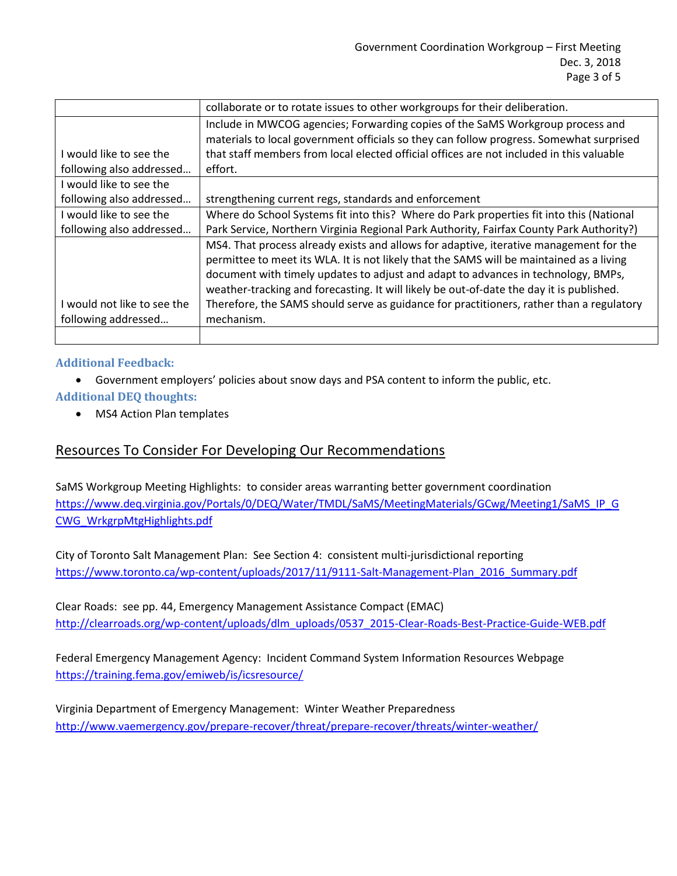|                             | collaborate or to rotate issues to other workgroups for their deliberation.              |
|-----------------------------|------------------------------------------------------------------------------------------|
|                             | Include in MWCOG agencies; Forwarding copies of the SaMS Workgroup process and           |
|                             | materials to local government officials so they can follow progress. Somewhat surprised  |
| I would like to see the     | that staff members from local elected official offices are not included in this valuable |
| following also addressed    | effort.                                                                                  |
| I would like to see the     |                                                                                          |
| following also addressed    | strengthening current regs, standards and enforcement                                    |
| I would like to see the     | Where do School Systems fit into this? Where do Park properties fit into this (National  |
| following also addressed    | Park Service, Northern Virginia Regional Park Authority, Fairfax County Park Authority?) |
|                             | MS4. That process already exists and allows for adaptive, iterative management for the   |
|                             | permittee to meet its WLA. It is not likely that the SAMS will be maintained as a living |
|                             | document with timely updates to adjust and adapt to advances in technology, BMPs,        |
|                             | weather-tracking and forecasting. It will likely be out-of-date the day it is published. |
| I would not like to see the | Therefore, the SAMS should serve as guidance for practitioners, rather than a regulatory |
| following addressed         | mechanism.                                                                               |
|                             |                                                                                          |

## **Additional Feedback:**

- Government employers' policies about snow days and PSA content to inform the public, etc.
- **Additional DEQ thoughts:**
	- MS4 Action Plan templates

## Resources To Consider For Developing Our Recommendations

SaMS Workgroup Meeting Highlights: to consider areas warranting better government coordination [https://www.deq.virginia.gov/Portals/0/DEQ/Water/TMDL/SaMS/MeetingMaterials/GCwg/Meeting1/SaMS\\_IP\\_G](https://www.deq.virginia.gov/Portals/0/DEQ/Water/TMDL/SaMS/MeetingMaterials/GCwg/Meeting1/SaMS_IP_GCWG_WrkgrpMtgHighlights.pdf) [CWG\\_WrkgrpMtgHighlights.pdf](https://www.deq.virginia.gov/Portals/0/DEQ/Water/TMDL/SaMS/MeetingMaterials/GCwg/Meeting1/SaMS_IP_GCWG_WrkgrpMtgHighlights.pdf)

City of Toronto Salt Management Plan: See Section 4: consistent multi-jurisdictional reporting https://www.toronto.ca/wp-content/uploads/2017/11/9111-Salt-Management-Plan\_2016\_Summary.pdf

Clear Roads: see pp. 44, Emergency Management Assistance Compact (EMAC) [http://clearroads.org/wp-content/uploads/dlm\\_uploads/0537\\_2015-Clear-Roads-Best-Practice-Guide-WEB.pdf](http://clearroads.org/wp-content/uploads/dlm_uploads/0537_2015-Clear-Roads-Best-Practice-Guide-WEB.pdf)

Federal Emergency Management Agency: Incident Command System Information Resources Webpage <https://training.fema.gov/emiweb/is/icsresource/>

Virginia Department of Emergency Management: Winter Weather Preparedness <http://www.vaemergency.gov/prepare-recover/threat/prepare-recover/threats/winter-weather/>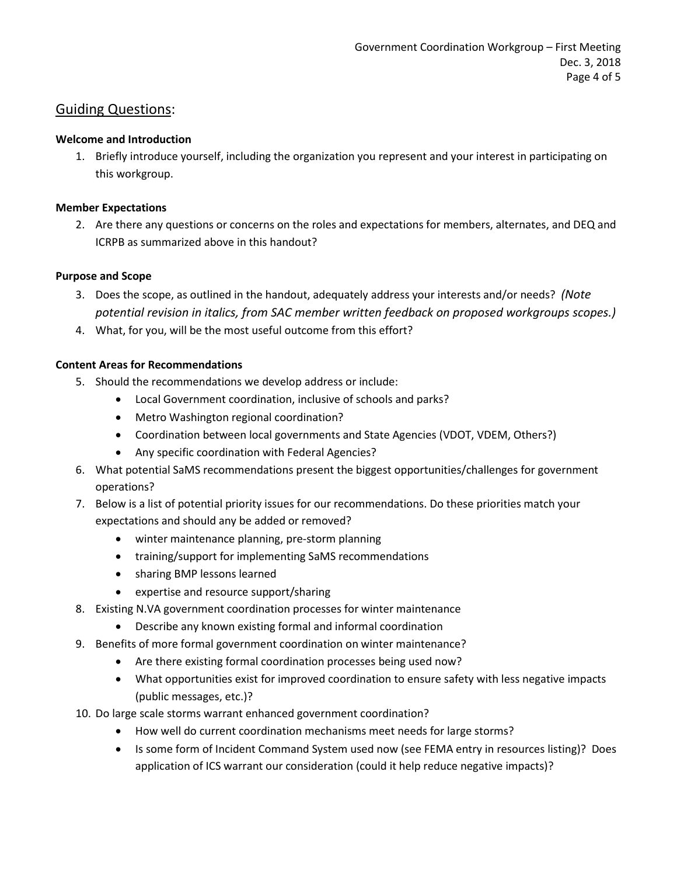## Guiding Questions:

## **Welcome and Introduction**

1. Briefly introduce yourself, including the organization you represent and your interest in participating on this workgroup.

## **Member Expectations**

2. Are there any questions or concerns on the roles and expectations for members, alternates, and DEQ and ICRPB as summarized above in this handout?

## **Purpose and Scope**

- 3. Does the scope, as outlined in the handout, adequately address your interests and/or needs? *(Note potential revision in italics, from SAC member written feedback on proposed workgroups scopes.)*
- 4. What, for you, will be the most useful outcome from this effort?

## **Content Areas for Recommendations**

- 5. Should the recommendations we develop address or include:
	- Local Government coordination, inclusive of schools and parks?
	- Metro Washington regional coordination?
	- Coordination between local governments and State Agencies (VDOT, VDEM, Others?)
	- Any specific coordination with Federal Agencies?
- 6. What potential SaMS recommendations present the biggest opportunities/challenges for government operations?
- 7. Below is a list of potential priority issues for our recommendations. Do these priorities match your expectations and should any be added or removed?
	- winter maintenance planning, pre-storm planning
	- training/support for implementing SaMS recommendations
	- sharing BMP lessons learned
	- expertise and resource support/sharing
- 8. Existing N.VA government coordination processes for winter maintenance
	- Describe any known existing formal and informal coordination
- 9. Benefits of more formal government coordination on winter maintenance?
	- Are there existing formal coordination processes being used now?
	- What opportunities exist for improved coordination to ensure safety with less negative impacts (public messages, etc.)?
- 10. Do large scale storms warrant enhanced government coordination?
	- How well do current coordination mechanisms meet needs for large storms?
	- Is some form of Incident Command System used now (see FEMA entry in resources listing)? Does application of ICS warrant our consideration (could it help reduce negative impacts)?